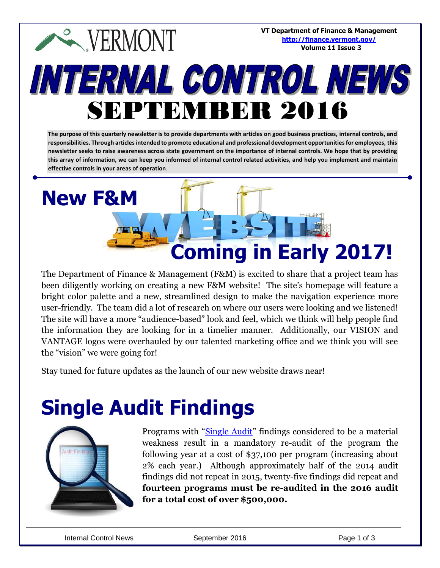#### **VT Department of Finance & Management**  $\sim$  VERMONT **<http://finance.vermont.gov/> Volume 11 Issue 3**INTERNAL CONTROL NEWS SEPTEMBER 2016

**The purpose of this quarterly newsletter is to provide departments with articles on good business practices, internal controls, and responsibilities. Through articles intended to promote educational and professional development opportunities for employees, this newsletter seeks to raise awareness across state government on the importance of internal controls. We hope that by providing this array of information, we can keep you informed of internal control related activities, and help you implement and maintain effective controls in your areas of operation**.

# **New F&M Coming in Early 2017!**

The Department of Finance & Management (F&M) is excited to share that a project team has been diligently working on creating a new F&M website! The site's homepage will feature a bright color palette and a new, streamlined design to make the navigation experience more user-friendly. The team did a lot of research on where our users were looking and we listened! The site will have a more "audience-based" look and feel, which we think will help people find the information they are looking for in a timelier manner. Additionally, our VISION and VANTAGE logos were overhauled by our talented marketing office and we think you will see the "vision" we were going for!

Stay tuned for future updates as the launch of our new website draws near!

### **Single Audit Findings**



Programs with "[Single Audit](http://auditor.vermont.gov/audits)" findings considered to be a material weakness result in a mandatory re-audit of the program the following year at a cost of \$37,100 per program (increasing about 2% each year.) Although approximately half of the 2014 audit findings did not repeat in 2015, twenty-five findings did repeat and **fourteen programs must be re-audited in the 2016 audit for a total cost of over \$500,000.**

Internal Control News **September 2016** Page 1 of 3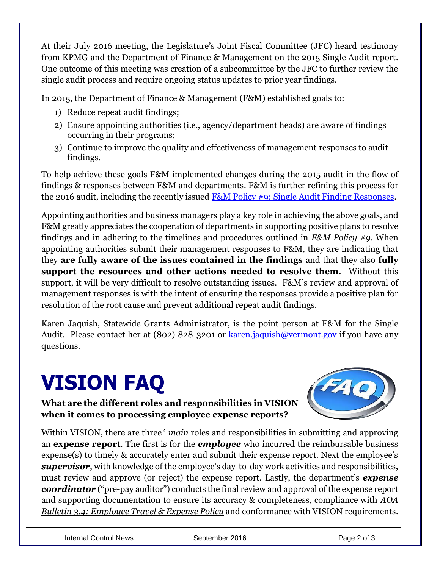At their July 2016 meeting, the Legislature's Joint Fiscal Committee (JFC) heard testimony from KPMG and the Department of Finance & Management on the 2015 Single Audit report. One outcome of this meeting was creation of a subcommittee by the JFC to further review the single audit process and require ongoing status updates to prior year findings.

In 2015, the Department of Finance & Management (F&M) established goals to:

- 1) Reduce repeat audit findings;
- 2) Ensure appointing authorities (i.e., agency/department heads) are aware of findings occurring in their programs;
- 3) Continue to improve the quality and effectiveness of management responses to audit findings.

To help achieve these goals F&M implemented changes during the 2015 audit in the flow of findings & responses between F&M and departments. F&M is further refining this process for the 2016 audit, including the recently issued [F&M Policy #9: Single Audit Finding Responses.](http://finance.vermont.gov/policies_procedures/policies)

Appointing authorities and business managers play a key role in achieving the above goals, and F&M greatly appreciates the cooperation of departments in supporting positive plans to resolve findings and in adhering to the timelines and procedures outlined in *F&M Policy #9*. When appointing authorities submit their management responses to F&M, they are indicating that they **are fully aware of the issues contained in the findings** and that they also **fully support the resources and other actions needed to resolve them**. Without this support, it will be very difficult to resolve outstanding issues. F&M's review and approval of management responses is with the intent of ensuring the responses provide a positive plan for resolution of the root cause and prevent additional repeat audit findings.

Karen Jaquish, Statewide Grants Administrator, is the point person at F&M for the Single Audit. Please contact her at (802) 828-3201 or [karen.jaquish@vermont.gov](mailto:karen.jaquish@vermont.gov) if you have any questions.

## **VISION FAQ**

**What are the different roles and responsibilities in VISION when it comes to processing employee expense reports?** 



Within VISION, there are three\* *main* roles and responsibilities in submitting and approving an **expense report**. The first is for the *employee* who incurred the reimbursable business expense(s) to timely & accurately enter and submit their expense report. Next the employee's *supervisor*, with knowledge of the employee's day-to-day work activities and responsibilities, must review and approve (or reject) the expense report. Lastly, the department's *expense coordinator* ("pre-pay auditor") conducts the final review and approval of the expense report and supporting documentation to ensure its accuracy & completeness, compliance with *AOA Bulletin 3.4: Employee Travel & Expense Policy* and conformance with VISION requirements.